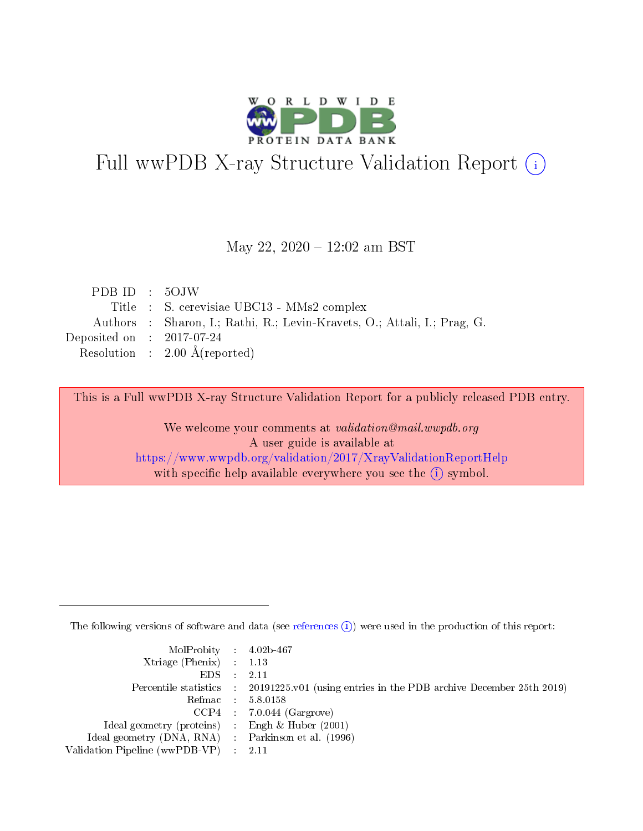

# Full wwPDB X-ray Structure Validation Report (i)

#### May 22, 2020 - 12:02 am BST

| PDBID : 5OJW                                                             |
|--------------------------------------------------------------------------|
| Title : S. cerevisiae UBC13 - MMs2 complex                               |
| Authors : Sharon, I.; Rathi, R.; Levin-Kravets, O.; Attali, I.; Prag, G. |
| Deposited on : $2017-07-24$                                              |
| Resolution : $2.00 \text{ Å}$ (reported)                                 |
|                                                                          |

This is a Full wwPDB X-ray Structure Validation Report for a publicly released PDB entry.

We welcome your comments at validation@mail.wwpdb.org A user guide is available at <https://www.wwpdb.org/validation/2017/XrayValidationReportHelp> with specific help available everywhere you see the  $(i)$  symbol.

The following versions of software and data (see [references](https://www.wwpdb.org/validation/2017/XrayValidationReportHelp#references)  $(i)$ ) were used in the production of this report:

| $MolProbability$ 4.02b-467                          |                                                                                            |
|-----------------------------------------------------|--------------------------------------------------------------------------------------------|
| Xtriage (Phenix) $: 1.13$                           |                                                                                            |
| $EDS$ :                                             | -2.11                                                                                      |
|                                                     | Percentile statistics : 20191225.v01 (using entries in the PDB archive December 25th 2019) |
|                                                     | Refmac : 5.8.0158                                                                          |
|                                                     | $CCP4$ : 7.0.044 (Gargrove)                                                                |
| Ideal geometry (proteins) : Engh $\&$ Huber (2001)  |                                                                                            |
| Ideal geometry (DNA, RNA) : Parkinson et al. (1996) |                                                                                            |
| Validation Pipeline (wwPDB-VP)                      | -2.11                                                                                      |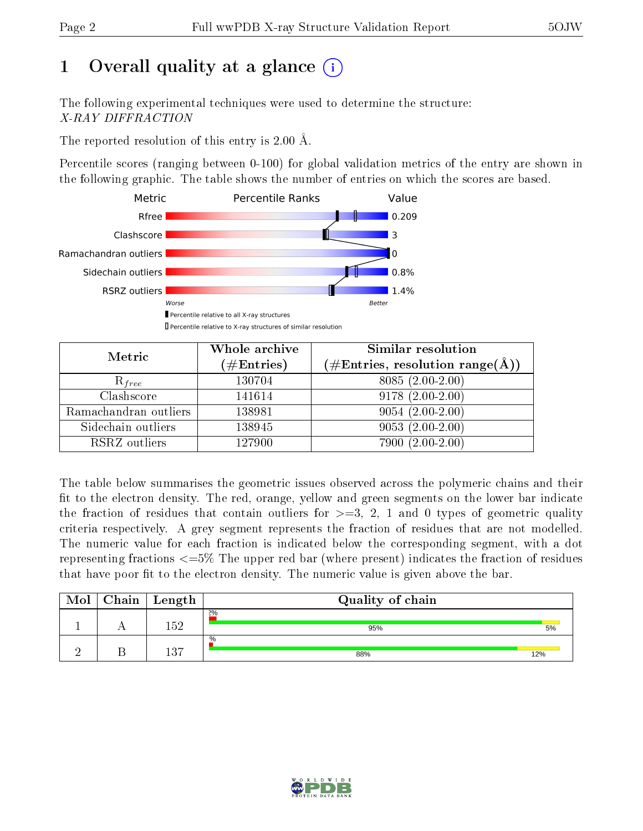# 1 [O](https://www.wwpdb.org/validation/2017/XrayValidationReportHelp#overall_quality)verall quality at a glance  $(i)$

The following experimental techniques were used to determine the structure: X-RAY DIFFRACTION

The reported resolution of this entry is 2.00 Å.

Percentile scores (ranging between 0-100) for global validation metrics of the entry are shown in the following graphic. The table shows the number of entries on which the scores are based.



| Metric                | Whole archive        | Similar resolution                                                     |  |  |
|-----------------------|----------------------|------------------------------------------------------------------------|--|--|
|                       | $(\#\text{Entries})$ | $(\#\text{Entries},\,\text{resolution}\,\,\text{range}(\textup{\AA}))$ |  |  |
| $R_{free}$            | 130704               | $8085(2.00-2.00)$                                                      |  |  |
| Clashscore            | 141614               | $9178(2.00-2.00)$                                                      |  |  |
| Ramachandran outliers | 138981               | $9054(2.00-2.00)$                                                      |  |  |
| Sidechain outliers    | 138945               | $9053(2.00-2.00)$                                                      |  |  |
| RSRZ outliers         | 127900               | $7900(2.00-2.00)$                                                      |  |  |

The table below summarises the geometric issues observed across the polymeric chains and their fit to the electron density. The red, orange, yellow and green segments on the lower bar indicate the fraction of residues that contain outliers for  $>=3, 2, 1$  and 0 types of geometric quality criteria respectively. A grey segment represents the fraction of residues that are not modelled. The numeric value for each fraction is indicated below the corresponding segment, with a dot representing fractions  $\epsilon=5\%$  The upper red bar (where present) indicates the fraction of residues that have poor fit to the electron density. The numeric value is given above the bar.

| Mol | Chain | Length | Quality of chain |     |
|-----|-------|--------|------------------|-----|
|     |       | 152    | 2%<br>95%        | 5%  |
|     |       | 137    | $\%$<br>88%      | 12% |

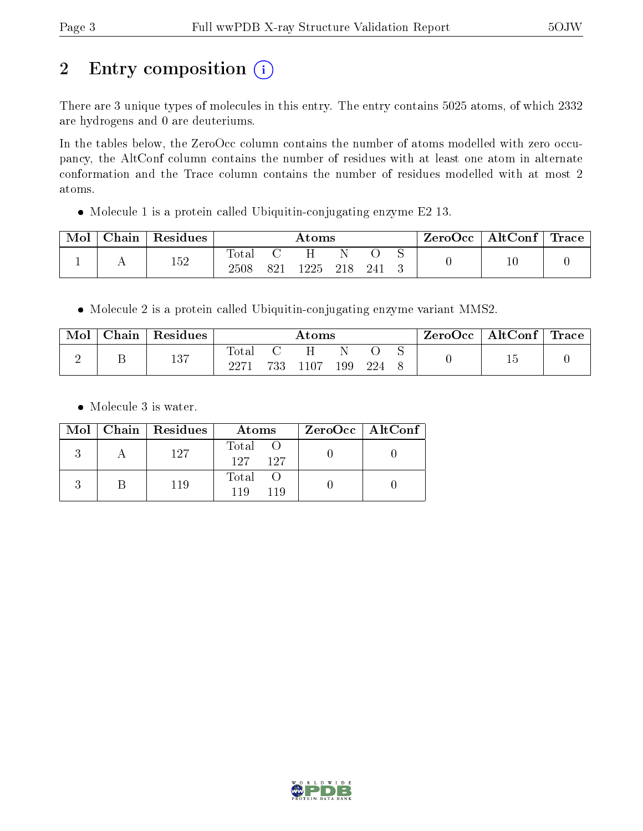# 2 Entry composition (i)

There are 3 unique types of molecules in this entry. The entry contains 5025 atoms, of which 2332 are hydrogens and 0 are deuteriums.

In the tables below, the ZeroOcc column contains the number of atoms modelled with zero occupancy, the AltConf column contains the number of residues with at least one atom in alternate conformation and the Trace column contains the number of residues modelled with at most 2 atoms.

Molecule 1 is a protein called Ubiquitin-conjugating enzyme E2 13.

| Mol | Chain | Residues | $\rm{Atoms}$   |     |       |     |     | ZeroOcc | $\vert$ AltConf $\vert$ Trace $\vert$ |    |  |
|-----|-------|----------|----------------|-----|-------|-----|-----|---------|---------------------------------------|----|--|
|     |       | ドウ       | $\text{Total}$ |     |       |     |     |         |                                       |    |  |
|     | . .   | ⊥∪∠      | 2508           | 821 | 1225. | 218 | 241 |         |                                       | TÛ |  |

Molecule 2 is a protein called Ubiquitin-conjugating enzyme variant MMS2.

| Mol | $\hbox{\bf Chain}$ | Residues    | Atoms         |     |      |     |     | ZeroOcc | AltConf | $^\shortparallel$ Trace |  |
|-----|--------------------|-------------|---------------|-----|------|-----|-----|---------|---------|-------------------------|--|
|     |                    | 127<br>10 I | Total<br>2271 | 733 | 1107 | 199 | 224 |         |         |                         |  |

• Molecule 3 is water.

|  | Mol   Chain   Residues | Atoms               | $ZeroOcc \   \ AltConf \  $ |
|--|------------------------|---------------------|-----------------------------|
|  | 127                    | Total<br>127<br>197 |                             |
|  | 119                    | Total<br>119<br>119 |                             |

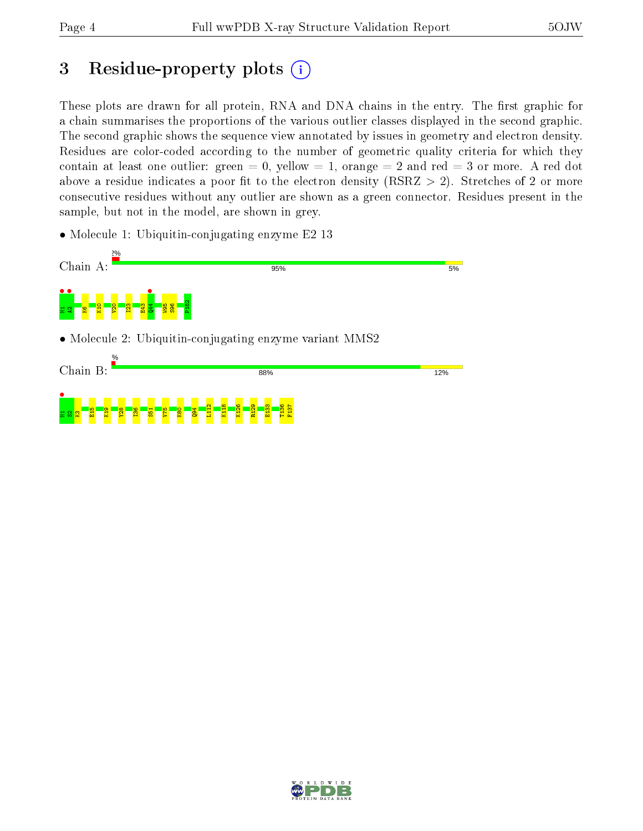## 3 Residue-property plots  $(i)$

These plots are drawn for all protein, RNA and DNA chains in the entry. The first graphic for a chain summarises the proportions of the various outlier classes displayed in the second graphic. The second graphic shows the sequence view annotated by issues in geometry and electron density. Residues are color-coded according to the number of geometric quality criteria for which they contain at least one outlier: green  $= 0$ , yellow  $= 1$ , orange  $= 2$  and red  $= 3$  or more. A red dot above a residue indicates a poor fit to the electron density (RSRZ  $> 2$ ). Stretches of 2 or more consecutive residues without any outlier are shown as a green connector. Residues present in the sample, but not in the model, are shown in grey.

• Molecule 1: Ubiquitin-conjugating enzyme E2 13



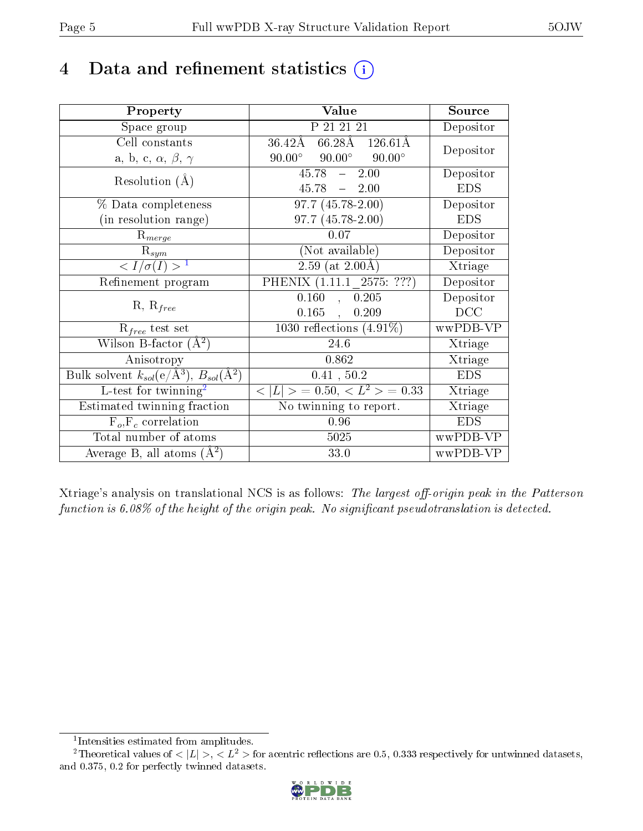## 4 Data and refinement statistics  $(i)$

| Property                                                                 | Value                                            | Source     |
|--------------------------------------------------------------------------|--------------------------------------------------|------------|
| Space group                                                              | P 21 21 21                                       | Depositor  |
| Cell constants                                                           | $66.28\text{\AA}$ 126.61Å<br>$36.42\rm\AA$       |            |
| a, b, c, $\alpha$ , $\beta$ , $\gamma$                                   | $90.00^{\circ}$ $90.00^{\circ}$<br>$90.00^\circ$ | Depositor  |
| Resolution $(A)$                                                         | $45.78 - 2.00$                                   | Depositor  |
|                                                                          | 45.78<br>$-2.00$                                 | <b>EDS</b> |
| % Data completeness                                                      | $\overline{97.7 (45.78-2.00)}$                   | Depositor  |
| (in resolution range)                                                    | 97.7 (45.78-2.00)                                | <b>EDS</b> |
| $R_{merge}$                                                              | 0.07                                             | Depositor  |
| $\mathrm{R}_{sym}$                                                       | (Not available)                                  | Depositor  |
| $\langle I/\sigma(I) \rangle^{-1}$                                       | $2.59$ (at $2.00\text{\AA}$ )                    | Xtriage    |
| Refinement program                                                       | PHENIX (1.11.1 2575: ???)                        | Depositor  |
| $R, R_{free}$                                                            | 0.160<br>, 0.205                                 | Depositor  |
|                                                                          | $0.165$ ,<br>0.209                               | DCC        |
| $\mathcal{R}_{free}$ test set                                            | $\overline{1030}$ reflections $(4.91\%)$         | wwPDB-VP   |
| Wilson B-factor $(A^2)$                                                  | 24.6                                             | Xtriage    |
| Anisotropy                                                               | 0.862                                            | Xtriage    |
| Bulk solvent $k_{sol}(\mathrm{e}/\mathrm{A}^3),$ $B_{sol}(\mathrm{A}^2)$ | 0.41, 50.2                                       | <b>EDS</b> |
| L-test for twinning <sup>2</sup>                                         | $< L >$ = 0.50, $< L2$ = 0.33                    | Xtriage    |
| Estimated twinning fraction                                              | $\overline{\text{No}}$ twinning to report.       | Xtriage    |
| $F_o, F_c$ correlation                                                   | 0.96                                             | <b>EDS</b> |
| Total number of atoms                                                    | 5025                                             | wwPDB-VP   |
| Average B, all atoms $(A^2)$                                             | 33.0                                             | wwPDB-VP   |

Xtriage's analysis on translational NCS is as follows: The largest off-origin peak in the Patterson function is  $6.08\%$  of the height of the origin peak. No significant pseudotranslation is detected.

<sup>&</sup>lt;sup>2</sup>Theoretical values of  $\langle |L| \rangle$ ,  $\langle L^2 \rangle$  for acentric reflections are 0.5, 0.333 respectively for untwinned datasets, and 0.375, 0.2 for perfectly twinned datasets.



<span id="page-4-1"></span><span id="page-4-0"></span><sup>1</sup> Intensities estimated from amplitudes.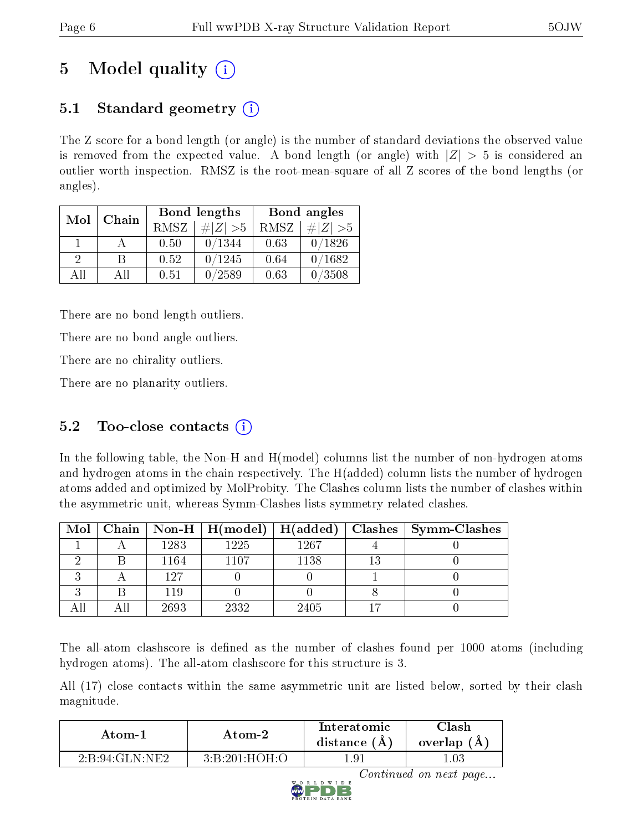# 5 Model quality  $(i)$

## 5.1 Standard geometry  $\overline{()}$

The Z score for a bond length (or angle) is the number of standard deviations the observed value is removed from the expected value. A bond length (or angle) with  $|Z| > 5$  is considered an outlier worth inspection. RMSZ is the root-mean-square of all Z scores of the bond lengths (or angles).

| Mol      | Chain |      | <b>Bond lengths</b> | Bond angles |             |  |
|----------|-------|------|---------------------|-------------|-------------|--|
|          |       | RMSZ | $\ Z\  > 5$         | RMSZ        | # $ Z  > 5$ |  |
|          |       | 0.50 | 0/1344              | 0.63        | 0/1826      |  |
| $\Omega$ | В     | 0.52 | 0/1245              | 0.64        | 0/1682      |  |
| AĦ       | Αll   | 0.51 | 0/2589              | 0.63        | 0/3508      |  |

There are no bond length outliers.

There are no bond angle outliers.

There are no chirality outliers.

There are no planarity outliers.

### $5.2$  Too-close contacts  $(i)$

In the following table, the Non-H and H(model) columns list the number of non-hydrogen atoms and hydrogen atoms in the chain respectively. The H(added) column lists the number of hydrogen atoms added and optimized by MolProbity. The Clashes column lists the number of clashes within the asymmetric unit, whereas Symm-Clashes lists symmetry related clashes.

|  |      |      |      | Mol   Chain   Non-H   H(model)   H(added)   Clashes   Symm-Clashes |
|--|------|------|------|--------------------------------------------------------------------|
|  | 1283 | 1225 | 1267 |                                                                    |
|  | 1164 | 1107 | 1138 |                                                                    |
|  | 127  |      |      |                                                                    |
|  | 119  |      |      |                                                                    |
|  | 2693 | 2332 | 2405 |                                                                    |

The all-atom clashscore is defined as the number of clashes found per 1000 atoms (including hydrogen atoms). The all-atom clashscore for this structure is 3.

All (17) close contacts within the same asymmetric unit are listed below, sorted by their clash magnitude.

| Atom-1         | Atom-2        | Interatomic<br>distance (A) | Clash<br>overlap $(A)$ |
|----------------|---------------|-----------------------------|------------------------|
| 2:B:94:GLN:NE2 | 3:B:201:HOH:O | $.9^{\circ}$                |                        |



Continued on next page...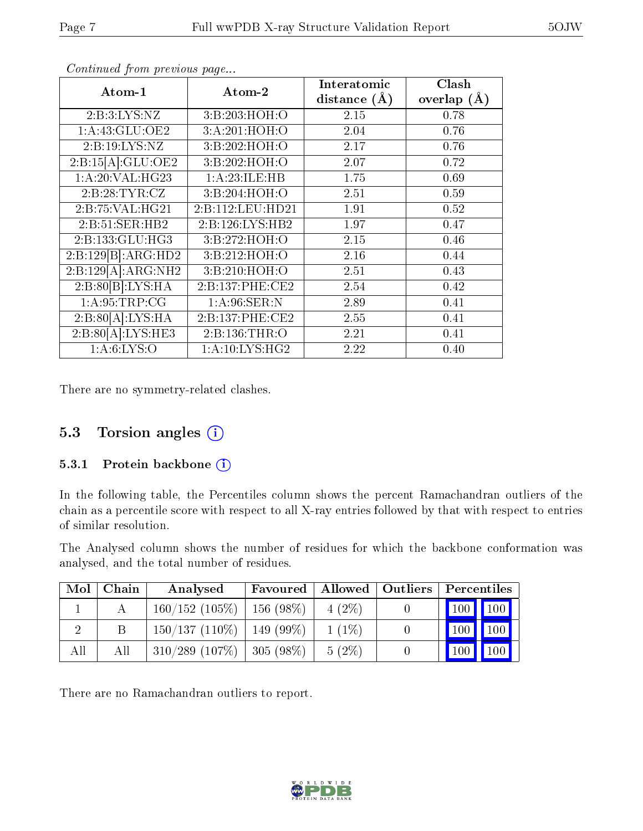| Atom-1                           | Atom-2           | Interatomic    | Clash         |
|----------------------------------|------------------|----------------|---------------|
|                                  |                  | distance $(A)$ | overlap $(A)$ |
| 2: B:3: LYS: NZ                  | 3:B:203:HOH:O    | 2.15           | 0.78          |
| 1: A: 43: GLU: OE2               | 3:A:201:HOH:O    | 2.04           | 0.76          |
| 2:B:19:LYS:NZ                    | 3:B:202:HOH:O    | 2.17           | 0.76          |
| 2:B:15[A]:GLU:OE2                | 3:B:202:HOH:O    | 2.07           | 0.72          |
| 1:A:20:VAL:HG23                  | 1:A:23:ILE:HB    | 1.75           | 0.69          |
| 2:B:28:TYR:CZ                    | 3:B:204:HOH:O    | 2.51           | 0.59          |
| 2:B:75:VAL:HG21                  | 2:B:112:LEU:HD21 | 1.91           | 0.52          |
| 2:B:51:SER:HB2                   | 2:B:126:LYS:HB2  | 1.97           | 0.47          |
| 2:B:133:GLU:HG3                  | 3:B:272:HOH:O    | 2.15           | 0.46          |
| $2:B:129[B]: \overline{ARG:HD2}$ | 3:B:212:HOH:O    | 2.16           | 0.44          |
| 2:B:129[A]:ARG:NH2               | 3:B:210:HOH:O    | 2.51           | 0.43          |
| 2:B:80[B]:LYS:HA                 | 2:B:137:PHE:CE2  | 2.54           | 0.42          |
| 1:A:95:TRP:CG                    | 1: A:96: SER: N  | 2.89           | 0.41          |
| 2:B:80[A]:LYS:HA                 | 2:B:137:PHE:CE2  | 2.55           | 0.41          |
| 2:B:80[A]:LYS:HE3                | 2:B:136:THR:O    | 2.21           | 0.41          |
| 1: A:6: LYS:O                    | 1: A:10:LYS:HG2  | 2.22           | 0.40          |

Continued from previous page...

There are no symmetry-related clashes.

#### 5.3 Torsion angles (i)

#### 5.3.1 Protein backbone (i)

In the following table, the Percentiles column shows the percent Ramachandran outliers of the chain as a percentile score with respect to all X-ray entries followed by that with respect to entries of similar resolution.

The Analysed column shows the number of residues for which the backbone conformation was analysed, and the total number of residues.

| Mol            | Chain | Analysed                           |          |          | Favoured   Allowed   Outliers |                       | Percentiles |  |  |
|----------------|-------|------------------------------------|----------|----------|-------------------------------|-----------------------|-------------|--|--|
|                |       | 160/152(105%)                      | 156(98%) | $4(2\%)$ |                               | 100 100               |             |  |  |
| $\overline{2}$ | Β     | $150/137$ (110\%)   149 (99\%)     |          | $1(1\%)$ |                               | $\mid$ 100 $\mid$ 100 |             |  |  |
| All            | All   | $310/289$ $(107\%)$   305 $(98\%)$ |          | $5(2\%)$ |                               | 100                   | $\vert$ 100 |  |  |

There are no Ramachandran outliers to report.

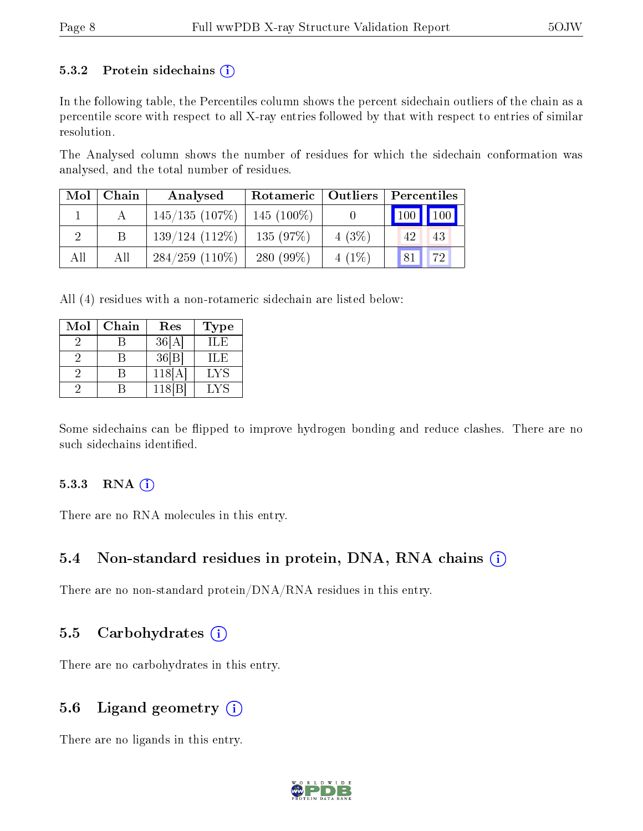#### 5.3.2 Protein sidechains  $(i)$

In the following table, the Percentiles column shows the percent sidechain outliers of the chain as a percentile score with respect to all X-ray entries followed by that with respect to entries of similar resolution.

The Analysed column shows the number of residues for which the sidechain conformation was analysed, and the total number of residues.

| Mol | Chain | Analysed            |              | Rotameric   Outliers |                     | Percentiles         |  |
|-----|-------|---------------------|--------------|----------------------|---------------------|---------------------|--|
|     |       | 145/135(107%)       | $145(100\%)$ |                      | $\vert$ 100 $\vert$ | $\vert$ 100 $\vert$ |  |
|     |       | $139/124(112\%)$    | 135(97%)     | 4(3%)                | 42.                 | 43                  |  |
| All | All   | $284/259$ $(110\%)$ | 280 $(99\%)$ | $4(1\%)$             | 81                  | 72                  |  |

All (4) residues with a non-rotameric sidechain are listed below:

| Mol | Chain | Res    | Type |
|-----|-------|--------|------|
|     |       | 36[A]  | ILE  |
|     |       | 36 B   | ILE  |
|     |       | 118[A] | LYS  |
|     |       | 118 B  | LYS  |

Some sidechains can be flipped to improve hydrogen bonding and reduce clashes. There are no such sidechains identified.

#### $5.3.3$  RNA  $(i)$

There are no RNA molecules in this entry.

### 5.4 Non-standard residues in protein, DNA, RNA chains  $(i)$

There are no non-standard protein/DNA/RNA residues in this entry.

#### 5.5 Carbohydrates  $(i)$

There are no carbohydrates in this entry.

### 5.6 Ligand geometry (i)

There are no ligands in this entry.

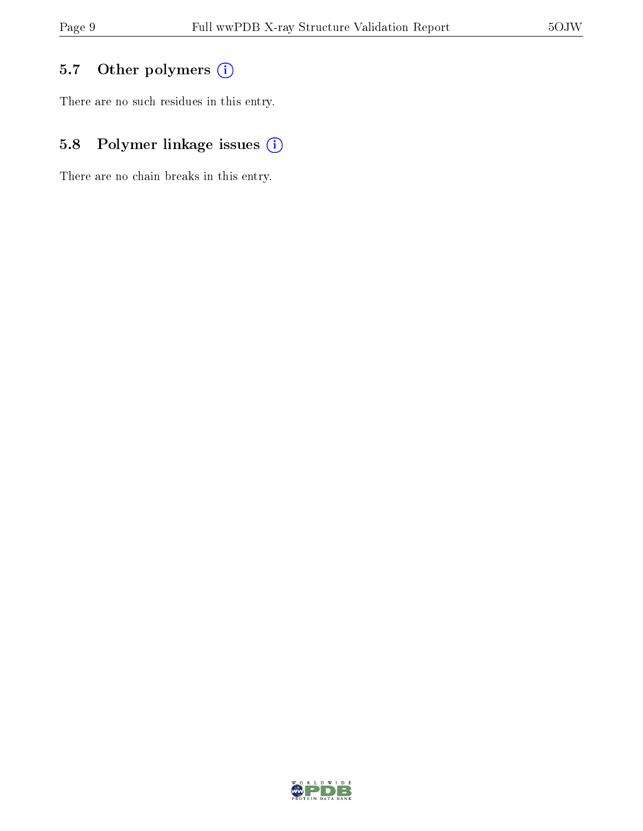## 5.7 [O](https://www.wwpdb.org/validation/2017/XrayValidationReportHelp#nonstandard_residues_and_ligands)ther polymers (i)

There are no such residues in this entry.

## 5.8 Polymer linkage issues (i)

There are no chain breaks in this entry.